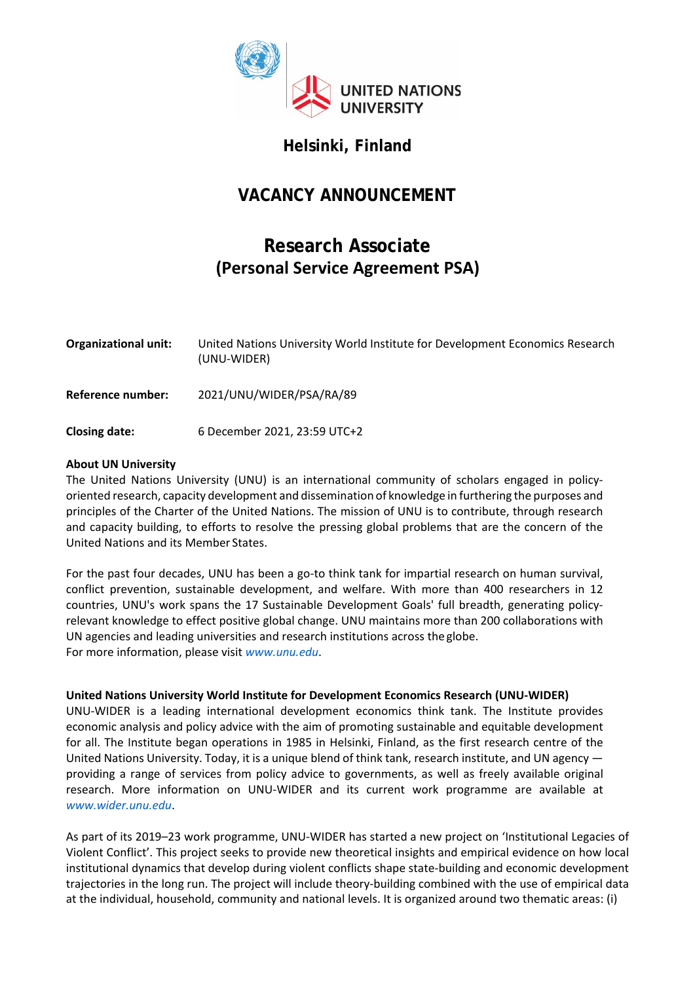

## **Helsinki, Finland**

# **VACANCY ANNOUNCEMENT**

# **Research Associate (Personal Service Agreement PSA)**

| <b>Organizational unit:</b> | United Nations University World Institute for Development Economics Research<br>(UNU-WIDER) |
|-----------------------------|---------------------------------------------------------------------------------------------|
| Reference number:           | 2021/UNU/WIDER/PSA/RA/89                                                                    |
| <b>Closing date:</b>        | 6 December 2021, 23:59 UTC+2                                                                |

## **About UN University**

The United Nations University (UNU) is an international community of scholars engaged in policyoriented research, capacity development and dissemination of knowledge in furthering the purposes and principles of the Charter of the United Nations. The mission of UNU is to contribute, through research and capacity building, to efforts to resolve the pressing global problems that are the concern of the United Nations and its Member States.

For the past four decades, UNU has been a go-to think tank for impartial research on human survival, conflict prevention, sustainable development, and welfare. With more than 400 researchers in 12 countries, UNU's work spans the 17 Sustainable Development Goals' full breadth, generating policyrelevant knowledge to effect positive global change. UNU maintains more than 200 collaborations with UN agencies and leading universities and research institutions across the globe. For more information, please visit *[www.unu.edu](http://www.unu.edu/)*.

## **United Nations University World Institute for Development Economics Research (UNU-WIDER)**

UNU-WIDER is a leading international development economics think tank. The Institute provides economic analysis and policy advice with the aim of promoting sustainable and equitable development for all. The Institute began operations in 1985 in Helsinki, Finland, as the first research centre of the United Nations University. Today, it is a unique blend of think tank, research institute, and UN agency providing a range of services from policy advice to governments, as well as freely available original research. More information on UNU-WIDER and its current work programme are available at *[www.wider.unu.edu](http://www.wider.unu.edu/)*.

As part of its 2019–23 work programme, UNU-WIDER has started a new project on 'Institutional Legacies of Violent Conflict'. This project seeks to provide new theoretical insights and empirical evidence on how local institutional dynamics that develop during violent conflicts shape state-building and economic development trajectories in the long run. The project will include theory-building combined with the use of empirical data at the individual, household, community and national levels. It is organized around two thematic areas: (i)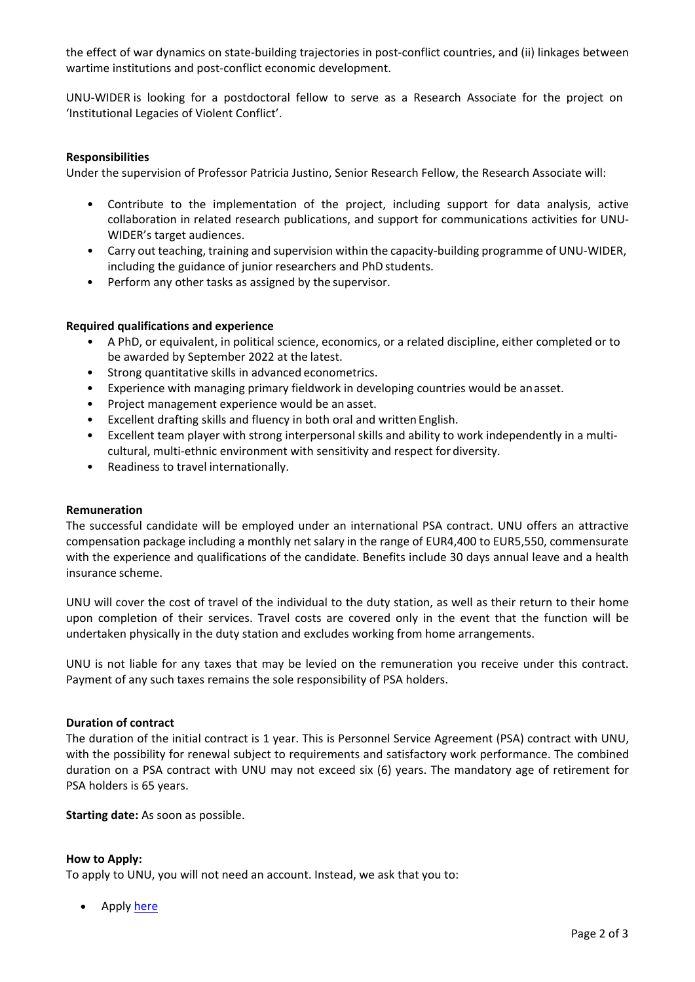the effect of war dynamics on state-building trajectories in post-conflict countries, and (ii) linkages between wartime institutions and post-conflict economic development.

UNU-WIDER is looking for a postdoctoral fellow to serve as a Research Associate for the project on 'Institutional Legacies of Violent Conflict'.

## **Responsibilities**

Under the supervision of Professor Patricia Justino, Senior Research Fellow, the Research Associate will:

- Contribute to the implementation of the project, including support for data analysis, active collaboration in related research publications, and support for communications activities for UNU-WIDER's target audiences.
- Carry out teaching, training and supervision within the capacity-building programme of UNU-WIDER, including the guidance of junior researchers and PhD students.
- Perform any other tasks as assigned by the supervisor.

#### **Required qualifications and experience**

- A PhD, or equivalent, in political science, economics, or a related discipline, either completed or to be awarded by September 2022 at the latest.
- Strong quantitative skills in advanced econometrics.
- Experience with managing primary fieldwork in developing countries would be anasset.
- Project management experience would be an asset.
- Excellent drafting skills and fluency in both oral and written English.
- Excellent team player with strong interpersonal skills and ability to work independently in a multicultural, multi-ethnic environment with sensitivity and respect for diversity.
- Readiness to travel internationally.

#### **Remuneration**

The successful candidate will be employed under an international PSA contract. UNU offers an attractive compensation package including a monthly net salary in the range of EUR4,400 to EUR5,550, commensurate with the experience and qualifications of the candidate. Benefits include 30 days annual leave and a health insurance scheme.

UNU will cover the cost of travel of the individual to the duty station, as well as their return to their home upon completion of their services. Travel costs are covered only in the event that the function will be undertaken physically in the duty station and excludes working from home arrangements.

UNU is not liable for any taxes that may be levied on the remuneration you receive under this contract. Payment of any such taxes remains the sole responsibility of PSA holders.

#### **Duration of contract**

The duration of the initial contract is 1 year. This is Personnel Service Agreement (PSA) contract with UNU, with the possibility for renewal subject to requirements and satisfactory work performance. The combined duration on a PSA contract with UNU may not exceed six (6) years. The mandatory age of retirement for PSA holders is 65 years.

**Starting date:** As soon as possible.

#### **How to Apply:**

To apply to UNU, you will not need an account. Instead, we ask that you to:

Apply <u>here</u>